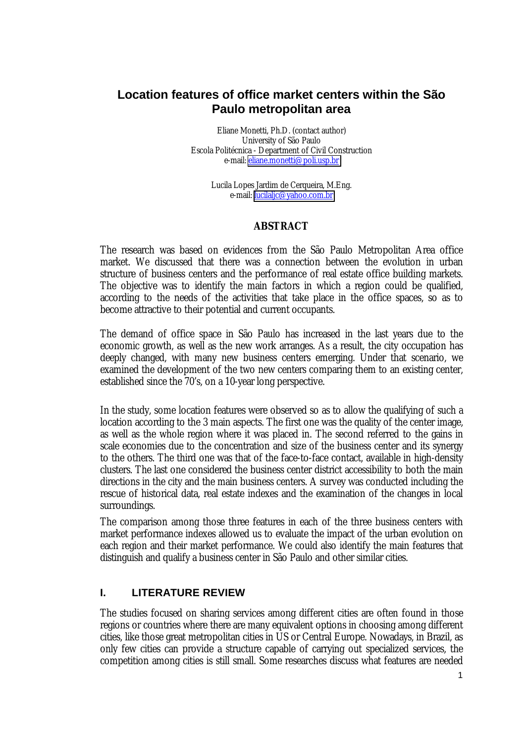# **Location features of office market centers within the São Paulo metropolitan area**

Eliane Monetti, Ph.D. (contact author) University of São Paulo Escola Politécnica - Department of Civil Construction e-mail: [eliane.monetti@poli.usp.br](mailto:eliane.monetti@poli.usp.br)

> Lucila Lopes Jardim de Cerqueira, M.Eng. e-mail: lucilalic@yahoo.com.br

### **ABSTRACT**

The research was based on evidences from the São Paulo Metropolitan Area office market. We discussed that there was a connection between the evolution in urban structure of business centers and the performance of real estate office building markets. The objective was to identify the main factors in which a region could be qualified, according to the needs of the activities that take place in the office spaces, so as to become attractive to their potential and current occupants.

The demand of office space in São Paulo has increased in the last years due to the economic growth, as well as the new work arranges. As a result, the city occupation has deeply changed, with many new business centers emerging. Under that scenario, we examined the development of the two new centers comparing them to an existing center, established since the 70's, on a 10-year long perspective.

In the study, some location features were observed so as to allow the qualifying of such a location according to the 3 main aspects. The first one was the quality of the center image, as well as the whole region where it was placed in. The second referred to the gains in scale economies due to the concentration and size of the business center and its synergy to the others. The third one was that of the face-to-face contact, available in high-density clusters. The last one considered the business center district accessibility to both the main directions in the city and the main business centers. A survey was conducted including the rescue of historical data, real estate indexes and the examination of the changes in local surroundings.

The comparison among those three features in each of the three business centers with market performance indexes allowed us to evaluate the impact of the urban evolution on each region and their market performance. We could also identify the main features that distinguish and qualify a business center in São Paulo and other similar cities.

## **I. LITERATURE REVIEW**

The studies focused on sharing services among different cities are often found in those regions or countries where there are many equivalent options in choosing among different cities, like those great metropolitan cities in US or Central Europe. Nowadays, in Brazil, as only few cities can provide a structure capable of carrying out specialized services, the competition among cities is still small. Some researches discuss what features are needed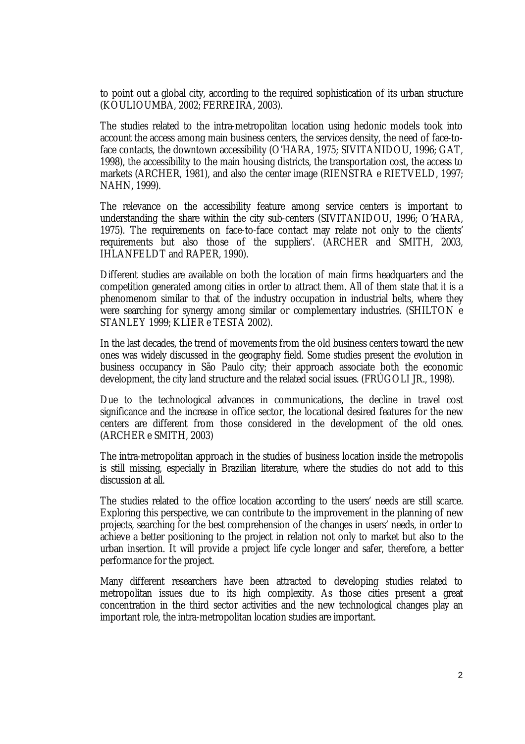to point out a global city, according to the required sophistication of its urban structure (KOULIOUMBA, 2002; FERREIRA, 2003).

The studies related to the intra-metropolitan location using hedonic models took into account the access among main business centers, the services density, the need of face-toface contacts, the downtown accessibility (O'HARA, 1975; SIVITANIDOU, 1996; GAT, 1998), the accessibility to the main housing districts, the transportation cost, the access to markets (ARCHER, 1981), and also the center image (RIENSTRA e RIETVELD, 1997; NAHN, 1999).

The relevance on the accessibility feature among service centers is important to understanding the share within the city sub-centers (SIVITANIDOU, 1996; O'HARA, 1975). The requirements on face-to-face contact may relate not only to the clients' requirements but also those of the suppliers'. (ARCHER and SMITH, 2003, IHLANFELDT and RAPER, 1990).

Different studies are available on both the location of main firms headquarters and the competition generated among cities in order to attract them. All of them state that it is a phenomenom similar to that of the industry occupation in industrial belts, where they were searching for synergy among similar or complementary industries. (SHILTON e STANLEY 1999; KLIER e TESTA 2002).

In the last decades, the trend of movements from the old business centers toward the new ones was widely discussed in the geography field. Some studies present the evolution in business occupancy in São Paulo city; their approach associate both the economic development, the city land structure and the related social issues. (FRÚGOLI JR., 1998).

Due to the technological advances in communications, the decline in travel cost significance and the increase in office sector, the locational desired features for the new centers are different from those considered in the development of the old ones. (ARCHER e SMITH, 2003)

The intra-metropolitan approach in the studies of business location inside the metropolis is still missing, especially in Brazilian literature, where the studies do not add to this discussion at all.

The studies related to the office location according to the users' needs are still scarce. Exploring this perspective, we can contribute to the improvement in the planning of new projects, searching for the best comprehension of the changes in users' needs, in order to achieve a better positioning to the project in relation not only to market but also to the urban insertion. It will provide a project life cycle longer and safer, therefore, a better performance for the project.

Many different researchers have been attracted to developing studies related to metropolitan issues due to its high complexity. As those cities present a great concentration in the third sector activities and the new technological changes play an important role, the intra-metropolitan location studies are important.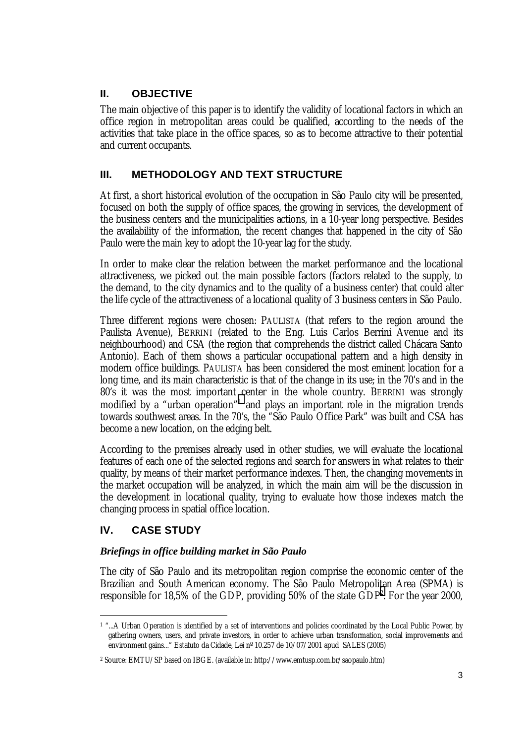## **II. OBJECTIVE**

The main objective of this paper is to identify the validity of locational factors in which an office region in metropolitan areas could be qualified, according to the needs of the activities that take place in the office spaces, so as to become attractive to their potential and current occupants.

## **III. METHODOLOGY AND TEXT STRUCTURE**

At first, a short historical evolution of the occupation in São Paulo city will be presented, focused on both the supply of office spaces, the growing in services, the development of the business centers and the municipalities actions, in a 10-year long perspective. Besides the availability of the information, the recent changes that happened in the city of São Paulo were the main key to adopt the 10-year lag for the study.

In order to make clear the relation between the market performance and the locational attractiveness, we picked out the main possible factors (factors related to the supply, to the demand, to the city dynamics and to the quality of a business center) that could alter the life cycle of the attractiveness of a locational quality of 3 business centers in São Paulo.

Three different regions were chosen: PAULISTA (that refers to the region around the Paulista Avenue), BERRINI (related to the Eng. Luis Carlos Berrini Avenue and its neighbourhood) and CSA (the region that comprehends the district called Chácara Santo Antonio). Each of them shows a particular occupational pattern and a high density in modern office buildings. PAULISTA has been considered the most eminent location for a long time, and its main characteristic is that of the change in its use; in the 70's and in the 80's it was the most important center in the whole country. BERRINI was strongly modified by a "urban operation"<sup>1</sup> and plays an important role in the migration trends towards southwest areas. In the 70's, the "São Paulo Office Park" was built and CSA has become a new location, on the edging belt.

According to the premises already used in other studies, we will evaluate the locational features of each one of the selected regions and search for answers in what relates to their quality, by means of their market performance indexes. Then, the changing movements in the market occupation will be analyzed, in which the main aim will be the discussion in the development in locational quality, trying to evaluate how those indexes match the changing process in spatial office location.

## **IV. CASE STUDY**

 $\overline{a}$ 

## *Briefings in office building market in São Paulo*

The city of São Paulo and its metropolitan region comprise the economic center of the Brazilian and South American economy. The São Paulo Metropolitan Area (SPMA) is responsible for 18,5% of the GDP, providing 50% of the state GDP<sup>2</sup>. For the year 2000,

<sup>&</sup>lt;sup>1</sup> "...A Urban Operation is identified by a set of interventions and policies coordinated by the Local Public Power, by gathering owners, users, and private investors, in order to achieve urban transformation, social improvements and environment gains..." Estatuto da Cidade, Lei nº 10.257 de 10/07/2001 apud SALES (2005)

<sup>2</sup> Source: EMTU/SP based on IBGE. (available in: http://www.emtusp.com.br/saopaulo.htm)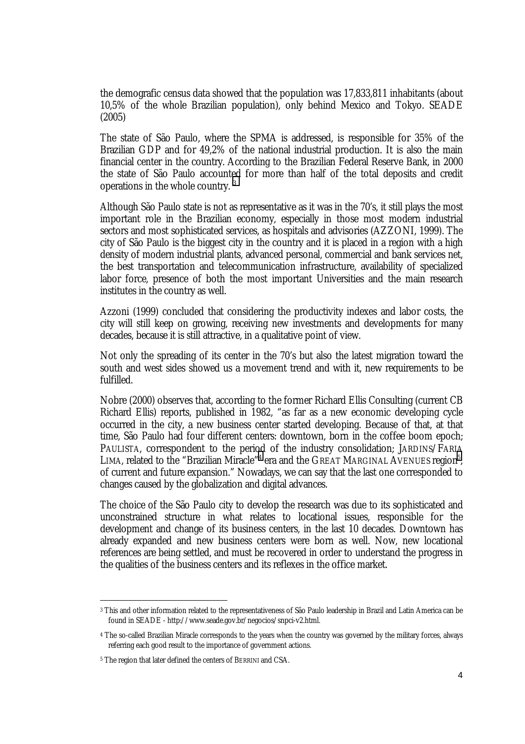the demografic census data showed that the population was 17,833,811 inhabitants (about 10,5% of the whole Brazilian population), only behind Mexico and Tokyo. SEADE (2005)

The state of São Paulo, where the SPMA is addressed, is responsible for 35% of the Brazilian GDP and for 49,2% of the national industrial production. It is also the main financial center in the country. According to the Brazilian Federal Reserve Bank, in 2000 the state of São Paulo accounted for more than half of the total deposits and credit operations in the whole country. <sup>3</sup>

Although São Paulo state is not as representative as it was in the 70's, it still plays the most important role in the Brazilian economy, especially in those most modern industrial sectors and most sophisticated services, as hospitals and advisories (AZZONI, 1999). The city of São Paulo is the biggest city in the country and it is placed in a region with a high density of modern industrial plants, advanced personal, commercial and bank services net, the best transportation and telecommunication infrastructure, availability of specialized labor force, presence of both the most important Universities and the main research institutes in the country as well.

Azzoni (1999) concluded that considering the productivity indexes and labor costs, the city will still keep on growing, receiving new investments and developments for many decades, because it is still attractive, in a qualitative point of view.

Not only the spreading of its center in the 70's but also the latest migration toward the south and west sides showed us a movement trend and with it, new requirements to be fulfilled.

Nobre (2000) observes that, according to the former Richard Ellis Consulting (current CB Richard Ellis) reports, published in 1982, "as far as a new economic developing cycle occurred in the city, a new business center started developing. Because of that, at that time, São Paulo had four different centers: downtown, born in the coffee boom epoch; PAULISTA, correspondent to the period of the industry consolidation; JARDINS/FARIA LIMA, related to the "Brazilian Miracle"<sup>4</sup> era and the GREAT MARGINAL AVENUES region<sup>5</sup>, of current and future expansion." Nowadays, we can say that the last one corresponded to changes caused by the globalization and digital advances.

The choice of the São Paulo city to develop the research was due to its sophisticated and unconstrained structure in what relates to locational issues, responsible for the development and change of its business centers, in the last 10 decades. Downtown has already expanded and new business centers were born as well. Now, new locational references are being settled, and must be recovered in order to understand the progress in the qualities of the business centers and its reflexes in the office market.

<sup>3</sup> This and other information related to the representativeness of São Paulo leadership in Brazil and Latin America can be found in SEADE - http://www.seade.gov.br/negocios/snpci-v2.html.

<sup>4</sup> The so-called Brazilian Miracle corresponds to the years when the country was governed by the military forces, always referring each good result to the importance of government actions.

<sup>5</sup> The region that later defined the centers of BERRINI and CSA.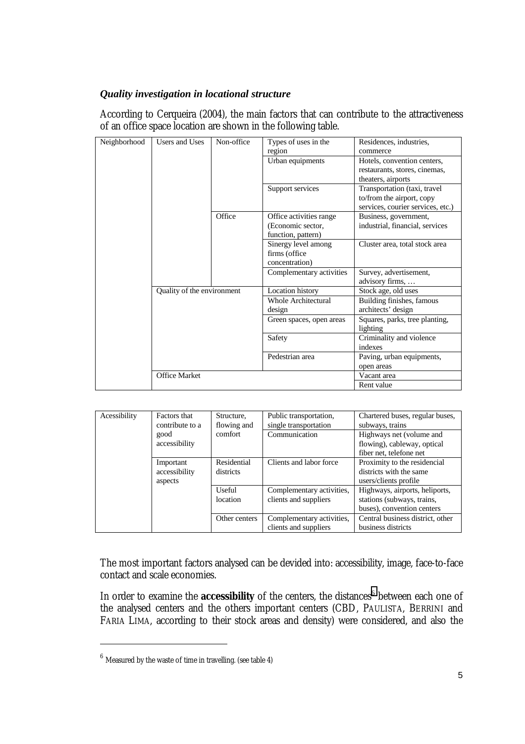### *Quality investigation in locational structure*

According to Cerqueira (2004), the main factors that can contribute to the attractiveness of an office space location are shown in the following table.

| Neighborhood | Users and Uses             | Non-office | Types of uses in the     | Residences, industries,           |
|--------------|----------------------------|------------|--------------------------|-----------------------------------|
|              |                            |            | region                   | commerce                          |
|              |                            |            | Urban equipments         | Hotels, convention centers,       |
|              |                            |            |                          | restaurants, stores, cinemas,     |
|              |                            |            |                          | theaters, airports                |
|              |                            |            | Support services         | Transportation (taxi, travel      |
|              |                            |            |                          | to/from the airport, copy         |
|              |                            |            |                          | services, courier services, etc.) |
|              |                            | Office     | Office activities range  | Business, government,             |
|              |                            |            | (Economic sector,        | industrial, financial, services   |
|              |                            |            | function, pattern)       |                                   |
|              |                            |            | Sinergy level among      | Cluster area, total stock area    |
|              |                            |            | firms (office)           |                                   |
|              |                            |            | concentration)           |                                   |
|              |                            |            | Complementary activities | Survey, advertisement,            |
|              |                            |            |                          | advisory firms,                   |
|              | Quality of the environment |            | Location history         | Stock age, old uses               |
|              |                            |            | Whole Architectural      | Building finishes, famous         |
|              |                            |            | design                   | architects' design                |
|              |                            |            | Green spaces, open areas | Squares, parks, tree planting,    |
|              |                            |            |                          | lighting                          |
|              |                            |            | Safety                   | Criminality and violence          |
|              |                            |            |                          | indexes                           |
|              |                            |            | Pedestrian area          | Paving, urban equipments,         |
|              |                            |            |                          | open areas                        |
|              | <b>Office Market</b>       |            |                          | Vacant area                       |
|              |                            |            |                          | Rent value                        |

| Acessibility | <b>Factors that</b> | Structure,    | Public transportation,    | Chartered buses, regular buses,  |
|--------------|---------------------|---------------|---------------------------|----------------------------------|
|              | contribute to a     | flowing and   | single transportation     | subways, trains                  |
|              | good                | comfort       | Communication             | Highways net (volume and         |
|              | accessibility       |               |                           | flowing), cableway, optical      |
|              |                     |               |                           | fiber net, telefone net          |
|              | Important           | Residential   | Clients and labor force   | Proximity to the residencial     |
|              | accessibility       | districts     |                           | districts with the same          |
|              | aspects             |               |                           | users/clients profile            |
|              |                     | Useful        | Complementary activities, | Highways, airports, heliports,   |
|              |                     | location      | clients and suppliers     | stations (subways, trains,       |
|              |                     |               |                           | buses), convention centers       |
|              |                     | Other centers | Complementary activities, | Central business district, other |
|              |                     |               | clients and suppliers     | business districts               |

The most important factors analysed can be devided into: accessibility, image, face-to-face contact and scale economies.

In order to examine the **accessibility** of the centers, the distances<sup>6</sup> between each one of the analysed centers and the others important centers (CBD, PAULISTA, BERRINI and FARIA LIMA, according to their stock areas and density) were considered, and also the

<sup>6</sup> Measured by the waste of time in travelling. (see table 4)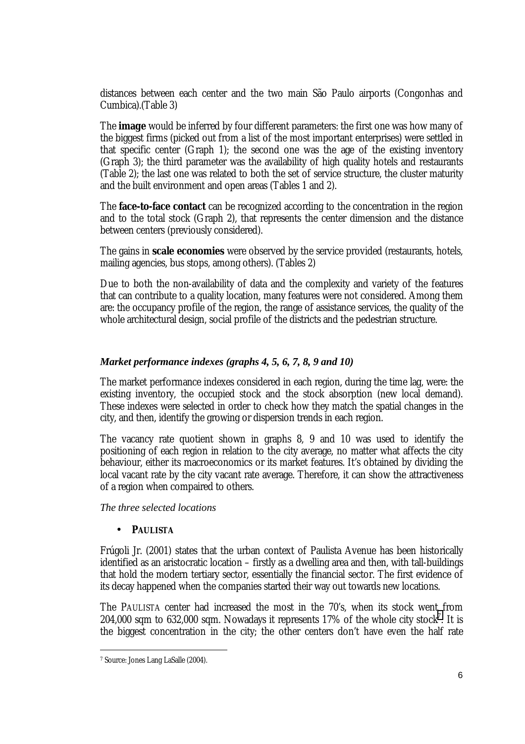distances between each center and the two main São Paulo airports (Congonhas and Cumbica).(Table 3)

The **image** would be inferred by four different parameters: the first one was how many of the biggest firms (picked out from a list of the most important enterprises) were settled in that specific center (Graph 1); the second one was the age of the existing inventory (Graph 3); the third parameter was the availability of high quality hotels and restaurants (Table 2); the last one was related to both the set of service structure, the cluster maturity and the built environment and open areas (Tables 1 and 2).

The **face-to-face contact** can be recognized according to the concentration in the region and to the total stock (Graph 2), that represents the center dimension and the distance between centers (previously considered).

The gains in **scale economies** were observed by the service provided (restaurants, hotels, mailing agencies, bus stops, among others). (Tables 2)

Due to both the non-availability of data and the complexity and variety of the features that can contribute to a quality location, many features were not considered. Among them are: the occupancy profile of the region, the range of assistance services, the quality of the whole architectural design, social profile of the districts and the pedestrian structure.

## *Market performance indexes (graphs 4, 5, 6, 7, 8, 9 and 10)*

The market performance indexes considered in each region, during the time lag, were: the existing inventory, the occupied stock and the stock absorption (new local demand). These indexes were selected in order to check how they match the spatial changes in the city, and then, identify the growing or dispersion trends in each region.

The vacancy rate quotient shown in graphs 8, 9 and 10 was used to identify the positioning of each region in relation to the city average, no matter what affects the city behaviour, either its macroeconomics or its market features. It's obtained by dividing the local vacant rate by the city vacant rate average. Therefore, it can show the attractiveness of a region when compaired to others.

*The three selected locations* 

## • **PAULISTA**

Frúgoli Jr. (2001) states that the urban context of Paulista Avenue has been historically identified as an aristocratic location – firstly as a dwelling area and then, with tall-buildings that hold the modern tertiary sector, essentially the financial sector. The first evidence of its decay happened when the companies started their way out towards new locations.

The PAULISTA center had increased the most in the 70's, when its stock went from 204,000 sqm to 632,000 sqm. Nowadays it represents  $17\%$  of the whole city stock<sup>7</sup>. It is the biggest concentration in the city; the other centers don't have even the half rate

<sup>7</sup> Source: Jones Lang LaSalle (2004).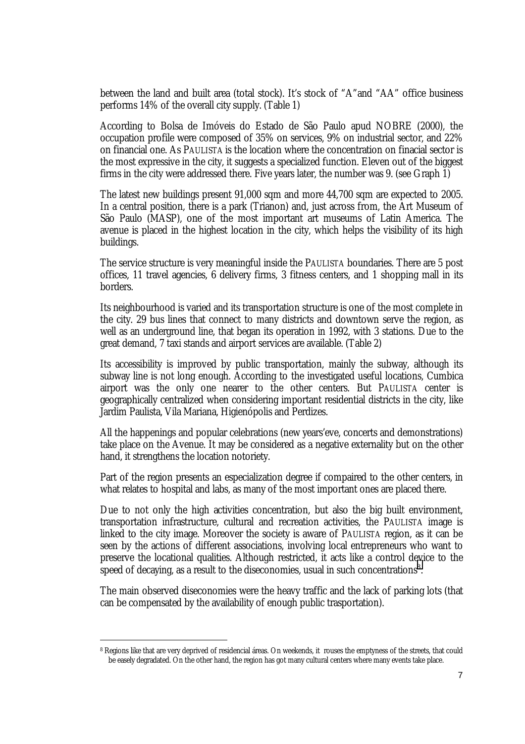between the land and built area (total stock). It's stock of "A"and "AA" office business performs 14% of the overall city supply. (Table 1)

According to Bolsa de Imóveis do Estado de São Paulo apud NOBRE (2000), the occupation profile were composed of 35% on services, 9% on industrial sector, and 22% on financial one. As PAULISTA is the location where the concentration on finacial sector is the most expressive in the city, it suggests a specialized function. Eleven out of the biggest firms in the city were addressed there. Five years later, the number was 9. (see Graph  $\widetilde{1)}$ 

The latest new buildings present 91,000 sqm and more 44,700 sqm are expected to 2005. In a central position, there is a park (Trianon) and, just across from, the Art Museum of São Paulo (MASP), one of the most important art museums of Latin America. The avenue is placed in the highest location in the city, which helps the visibility of its high buildings.

The service structure is very meaningful inside the PAULISTA boundaries. There are 5 post offices, 11 travel agencies, 6 delivery firms, 3 fitness centers, and 1 shopping mall in its borders.

Its neighbourhood is varied and its transportation structure is one of the most complete in the city. 29 bus lines that connect to many districts and downtown serve the region, as well as an underground line, that began its operation in 1992, with 3 stations. Due to the great demand, 7 taxi stands and airport services are available. (Table 2)

Its accessibility is improved by public transportation, mainly the subway, although its subway line is not long enough. According to the investigated useful locations, Cumbica airport was the only one nearer to the other centers. But PAULISTA center is geographically centralized when considering important residential districts in the city, like Jardim Paulista, Vila Mariana, Higienópolis and Perdizes.

All the happenings and popular celebrations (new years'eve, concerts and demonstrations) take place on the Avenue. It may be considered as a negative externality but on the other hand, it strengthens the location notoriety.

Part of the region presents an especialization degree if compaired to the other centers, in what relates to hospital and labs, as many of the most important ones are placed there.

Due to not only the high activities concentration, but also the big built environment, transportation infrastructure, cultural and recreation activities, the PAULISTA image is linked to the city image. Moreover the society is aware of PAULISTA region, as it can be seen by the actions of different associations, involving local entrepreneurs who want to preserve the locational qualities. Although restricted, it acts like a control device to the speed of decaying, as a result to the diseconomies, usual in such concentrations $8$ .

The main observed diseconomies were the heavy traffic and the lack of parking lots (that can be compensated by the availability of enough public trasportation).

<sup>8</sup> Regions like that are very deprived of residencial áreas. On weekends, it rouses the emptyness of the streets, that could be easely degradated. On the other hand, the region has got many cultural centers where many events take place.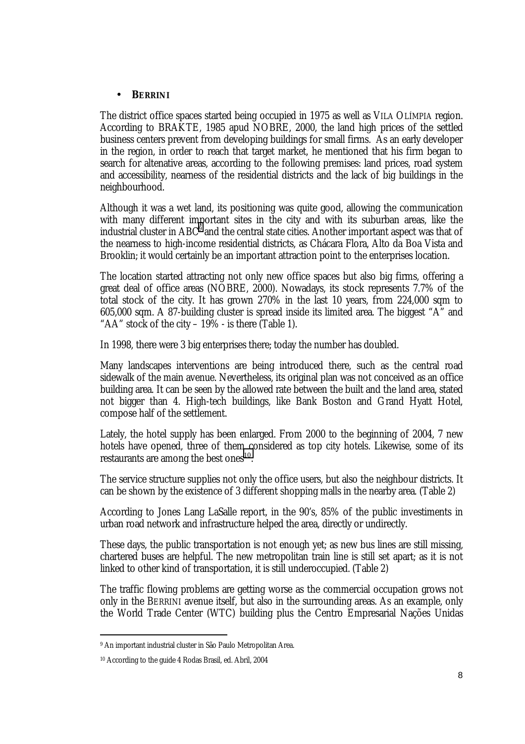#### • **BERRINI**

The district office spaces started being occupied in 1975 as well as VILA OLÍMPIA region. According to BRAKTE, 1985 apud NOBRE, 2000, the land high prices of the settled business centers prevent from developing buildings for small firms. As an early developer in the region, in order to reach that target market, he mentioned that his firm began to search for altenative areas, according to the following premises: land prices, road system and accessibility, nearness of the residential districts and the lack of big buildings in the neighbourhood.

Although it was a wet land, its positioning was quite good, allowing the communication with many different important sites in the city and with its suburban areas, like the industrial cluster in  $\mathsf{ABC}^9$  and the central state cities. Another important aspect was that of the nearness to high-income residential districts, as Chácara Flora, Alto da Boa Vista and Brooklin; it would certainly be an important attraction point to the enterprises location.

The location started attracting not only new office spaces but also big firms, offering a great deal of office areas (NOBRE, 2000). Nowadays, its stock represents 7.7% of the total stock of the city. It has grown 270% in the last 10 years, from 224,000 sqm to 605,000 sqm. A 87-building cluster is spread inside its limited area. The biggest "A" and "AA" stock of the city  $-19\%$  - is there (Table 1).

In 1998, there were 3 big enterprises there; today the number has doubled.

Many landscapes interventions are being introduced there, such as the central road sidewalk of the main avenue. Nevertheless, its original plan was not conceived as an office building area. It can be seen by the allowed rate between the built and the land area, stated not bigger than 4. High-tech buildings, like Bank Boston and Grand Hyatt Hotel, compose half of the settlement.

Lately, the hotel supply has been enlarged. From 2000 to the beginning of 2004, 7 new hotels have opened, three of them considered as top city hotels. Likewise, some of its restaurants are among the best ones<sup>10</sup>.

The service structure supplies not only the office users, but also the neighbour districts. It can be shown by the existence of 3 different shopping malls in the nearby area. (Table 2)

According to Jones Lang LaSalle report, in the 90's, 85% of the public investiments in urban road network and infrastructure helped the area, directly or undirectly.

These days, the public transportation is not enough yet; as new bus lines are still missing, chartered buses are helpful. The new metropolitan train line is still set apart; as it is not linked to other kind of transportation, it is still underoccupied. (Table 2)

The traffic flowing problems are getting worse as the commercial occupation grows not only in the BERRINI avenue itself, but also in the surrounding areas. As an example, only the World Trade Center (WTC) building plus the Centro Empresarial Nações Unidas

<sup>9</sup> An important industrial cluster in São Paulo Metropolitan Area.

<sup>10</sup> According to the guide 4 Rodas Brasil, ed. Abril, 2004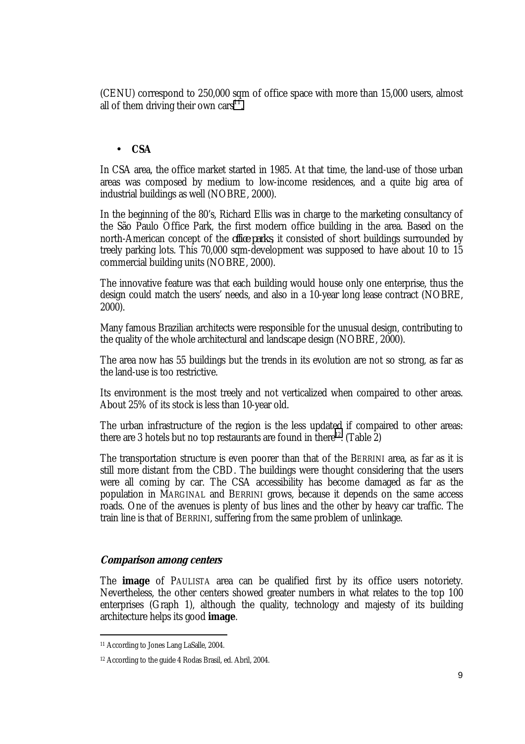(CENU) correspond to 250,000 sqm of office space with more than 15,000 users, almost all of them driving their own cars<sup>11</sup>.

#### • **CSA**

In CSA area, the office market started in 1985. At that time, the land-use of those urban areas was composed by medium to low-income residences, and a quite big area of industrial buildings as well (NOBRE, 2000).

In the beginning of the 80's, Richard Ellis was in charge to the marketing consultancy of the São Paulo Office Park, the first modern office building in the area. Based on the north-American concept of the *office parks*, it consisted of short buildings surrounded by treely parking lots. This 70,000 sqm-development was supposed to have about 10 to 15 commercial building units (NOBRE, 2000).

The innovative feature was that each building would house only one enterprise, thus the design could match the users' needs, and also in a 10-year long lease contract (NOBRE, 2000).

Many famous Brazilian architects were responsible for the unusual design, contributing to the quality of the whole architectural and landscape design (NOBRE, 2000).

The area now has 55 buildings but the trends in its evolution are not so strong, as far as the land-use is too restrictive.

Its environment is the most treely and not verticalized when compaired to other areas. About 25% of its stock is less than 10-year old.

The urban infrastructure of the region is the less updated if compaired to other areas: there are 3 hotels but no top restaurants are found in there<sup>12</sup>. (Table  $\overline{2}$ )

The transportation structure is even poorer than that of the BERRINI area, as far as it is still more distant from the CBD. The buildings were thought considering that the users were all coming by car. The CSA accessibility has become damaged as far as the population in MARGINAL and BERRINI grows, because it depends on the same access roads. One of the avenues is plenty of bus lines and the other by heavy car traffic. The train line is that of BERRINI, suffering from the same problem of unlinkage.

#### **Comparison among centers**

The **image** of PAULISTA area can be qualified first by its office users notoriety. Nevertheless, the other centers showed greater numbers in what relates to the top 100 enterprises (Graph 1), although the quality, technology and majesty of its building architecture helps its good **image**.

<sup>11</sup> According to Jones Lang LaSalle, 2004.

<sup>12</sup> According to the guide 4 Rodas Brasil, ed. Abril, 2004.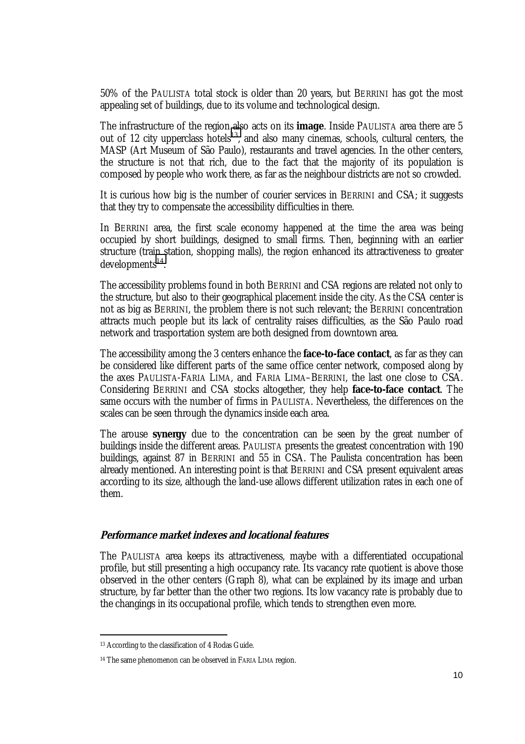50% of the PAULISTA total stock is older than 20 years, but BERRINI has got the most appealing set of buildings, due to its volume and technological design.

The infrastructure of the region also acts on its **image**. Inside PAULISTA area there are 5 out of 12 city upperclass hotels<sup>13</sup>, and also many cinemas, schools, cultural centers, the MASP (Art Museum of São Paulo), restaurants and travel agencies. In the other centers, the structure is not that rich, due to the fact that the majority of its population is composed by people who work there, as far as the neighbour districts are not so crowded.

It is curious how big is the number of courier services in BERRINI and CSA; it suggests that they try to compensate the accessibility difficulties in there.

In BERRINI area, the first scale economy happened at the time the area was being occupied by short buildings, designed to small firms. Then, beginning with an earlier structure (train station, shopping malls), the region enhanced its attractiveness to greater  $develoments<sup>14</sup>$ .

The accessibility problems found in both BERRINI and CSA regions are related not only to the structure, but also to their geographical placement inside the city. As the CSA center is not as big as BERRINI, the problem there is not such relevant; the BERRINI concentration attracts much people but its lack of centrality raises difficulties, as the São Paulo road network and trasportation system are both designed from downtown area.

The accessibility among the 3 centers enhance the **face-to-face contact**, as far as they can be considered like different parts of the same office center network, composed along by the axes PAULISTA-FARIA LIMA, and FARIA LIMA–BERRINI, the last one close to CSA. Considering BERRINI and CSA stocks altogether, they help **face-to-face contact**. The same occurs with the number of firms in PAULISTA. Nevertheless, the differences on the scales can be seen through the dynamics inside each area.

The arouse **synergy** due to the concentration can be seen by the great number of buildings inside the different areas. PAULISTA presents the greatest concentration with 190 buildings, against 87 in BERRINI and 55 in CSA. The Paulista concentration has been already mentioned. An interesting point is that BERRINI and CSA present equivalent areas according to its size, although the land-use allows different utilization rates in each one of them.

#### **Performance market indexes and locational features**

The PAULISTA area keeps its attractiveness, maybe with a differentiated occupational profile, but still presenting a high occupancy rate. Its vacancy rate quotient is above those observed in the other centers (Graph 8), what can be explained by its image and urban structure, by far better than the other two regions. Its low vacancy rate is probably due to the changings in its occupational profile, which tends to strengthen even more.

<sup>13</sup> According to the classification of 4 Rodas Guide.

<sup>14</sup> The same phenomenon can be observed in FARIA LIMA region.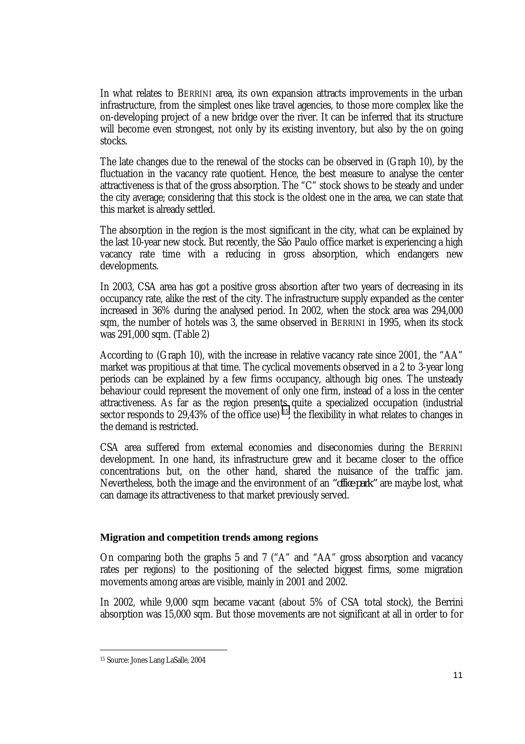In what relates to BERRINI area, its own expansion attracts improvements in the urban infrastructure, from the simplest ones like travel agencies, to those more complex like the on-developing project of a new bridge over the river. It can be inferred that its structure will become even strongest, not only by its existing inventory, but also by the on going stocks.

The late changes due to the renewal of the stocks can be observed in (Graph 10), by the fluctuation in the vacancy rate quotient. Hence, the best measure to analyse the center attractiveness is that of the gross absorption. The "C" stock shows to be steady and under the city average; considering that this stock is the oldest one in the area, we can state that this market is already settled.

The absorption in the region is the most significant in the city, what can be explained by the last 10-year new stock. But recently, the São Paulo office market is experiencing a high vacancy rate time with a reducing in gross absorption, which endangers new developments.

In 2003, CSA area has got a positive gross absortion after two years of decreasing in its occupancy rate, alike the rest of the city. The infrastructure supply expanded as the center increased in 36% during the analysed period. In 2002, when the stock area was 294,000 sqm, the number of hotels was 3, the same observed in BERRINI in 1995, when its stock was 291,000 sqm. (Table 2)

According to (Graph 10), with the increase in relative vacancy rate since 2001, the "AA" market was propitious at that time. The cyclical movements observed in a 2 to 3-year long periods can be explained by a few firms occupancy, although big ones. The unsteady behaviour could represent the movement of only one firm, instead of a loss in the center attractiveness. As far as the region presents quite a specialized occupation (industrial sector responds to  $29,43\%$  of the office use) <sup>15</sup>, the flexibility in what relates to changes in the demand is restricted.

CSA area suffered from external economies and diseconomies during the BERRINI development. In one hand, its infrastructure grew and it became closer to the office concentrations but, on the other hand, shared the nuisance of the traffic jam. Nevertheless, both the image and the environment of an *"office park"* are maybe lost, what can damage its attractiveness to that market previously served.

## **Migration and competition trends among regions**

On comparing both the graphs 5 and 7 ("A" and "AA" gross absorption and vacancy rates per regions) to the positioning of the selected biggest firms, some migration movements among areas are visible, mainly in 2001 and 2002.

In 2002, while 9,000 sqm became vacant (about 5% of CSA total stock), the Berrini absorption was 15,000 sqm. But those movements are not significant at all in order to for

<sup>15</sup> Source: Jones Lang LaSalle, 2004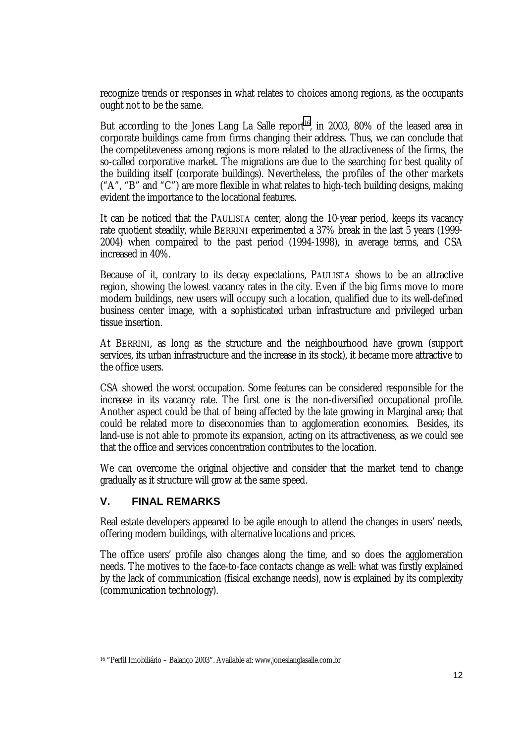recognize trends or responses in what relates to choices among regions, as the occupants ought not to be the same.

But according to the Jones Lang La Salle report<sup>16</sup>, in 2003, 80% of the leased area in corporate buildings came from firms changing their address. Thus, we can conclude that the competiteveness among regions is more related to the attractiveness of the firms, the so-called corporative market. The migrations are due to the searching for best quality of the building itself (corporate buildings). Nevertheless, the profiles of the other markets ("A", "B" and "C") are more flexible in what relates to high-tech building designs, making evident the importance to the locational features.

It can be noticed that the PAULISTA center, along the 10-year period, keeps its vacancy rate quotient steadily, while BERRINI experimented a 37% break in the last 5 years (1999- 2004) when compaired to the past period (1994-1998), in average terms, and CSA increased in 40%.

Because of it, contrary to its decay expectations, PAULISTA shows to be an attractive region, showing the lowest vacancy rates in the city. Even if the big firms move to more modern buildings, new users will occupy such a location, qualified due to its well-defined business center image, with a sophisticated urban infrastructure and privileged urban tissue insertion.

At BERRINI, as long as the structure and the neighbourhood have grown (support services, its urban infrastructure and the increase in its stock), it became more attractive to the office users.

CSA showed the worst occupation. Some features can be considered responsible for the increase in its vacancy rate. The first one is the non-diversified occupational profile. Another aspect could be that of being affected by the late growing in Marginal area; that could be related more to diseconomies than to agglomeration economies. Besides, its land-use is not able to promote its expansion, acting on its attractiveness, as we could see that the office and services concentration contributes to the location.

We can overcome the original objective and consider that the market tend to change gradually as it structure will grow at the same speed.

## **V. FINAL REMARKS**

 $\overline{a}$ 

Real estate developers appeared to be agile enough to attend the changes in users' needs, offering modern buildings, with alternative locations and prices.

The office users' profile also changes along the time, and so does the agglomeration needs. The motives to the face-to-face contacts change as well: what was firstly explained by the lack of communication (fisical exchange needs), now is explained by its complexity (communication technology).

<sup>16 &</sup>quot;Perfil Imobiliário – Balanço 2003". Available at: www.joneslanglasalle.com.br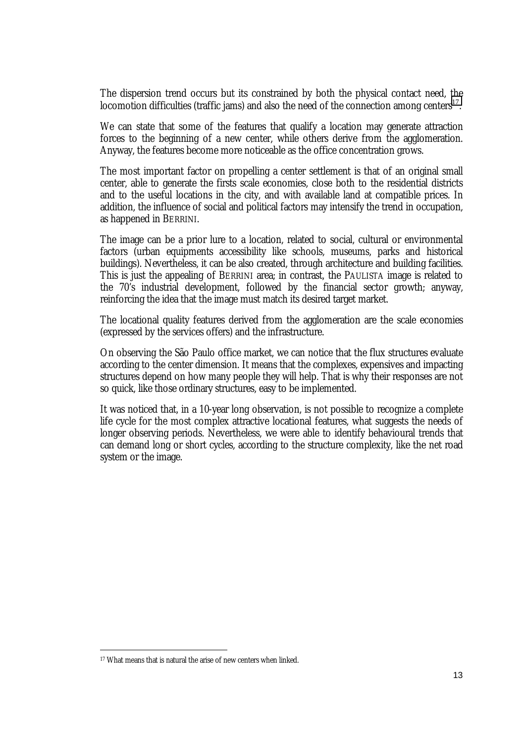The dispersion trend occurs but its constrained by both the physical contact need, the locomotion difficulties (traffic jams) and also the need of the connection among centers<sup>17</sup>.

We can state that some of the features that qualify a location may generate attraction forces to the beginning of a new center, while others derive from the agglomeration. Anyway, the features become more noticeable as the office concentration grows.

The most important factor on propelling a center settlement is that of an original small center, able to generate the firsts scale economies, close both to the residential districts and to the useful locations in the city, and with available land at compatible prices. In addition, the influence of social and political factors may intensify the trend in occupation, as happened in BERRINI.

The image can be a prior lure to a location, related to social, cultural or environmental factors (urban equipments accessibility like schools, museums, parks and historical buildings). Nevertheless, it can be also created, through architecture and building facilities. This is just the appealing of BERRINI area; in contrast, the PAULISTA image is related to the 70's industrial development, followed by the financial sector growth; anyway, reinforcing the idea that the image must match its desired target market.

The locational quality features derived from the agglomeration are the scale economies (expressed by the services offers) and the infrastructure.

On observing the São Paulo office market, we can notice that the flux structures evaluate according to the center dimension. It means that the complexes, expensives and impacting structures depend on how many people they will help. That is why their responses are not so quick, like those ordinary structures, easy to be implemented.

It was noticed that, in a 10-year long observation, is not possible to recognize a complete life cycle for the most complex attractive locational features, what suggests the needs of longer observing periods. Nevertheless, we were able to identify behavioural trends that can demand long or short cycles, according to the structure complexity, like the net road system or the image.

<sup>17</sup> What means that is natural the arise of new centers when linked.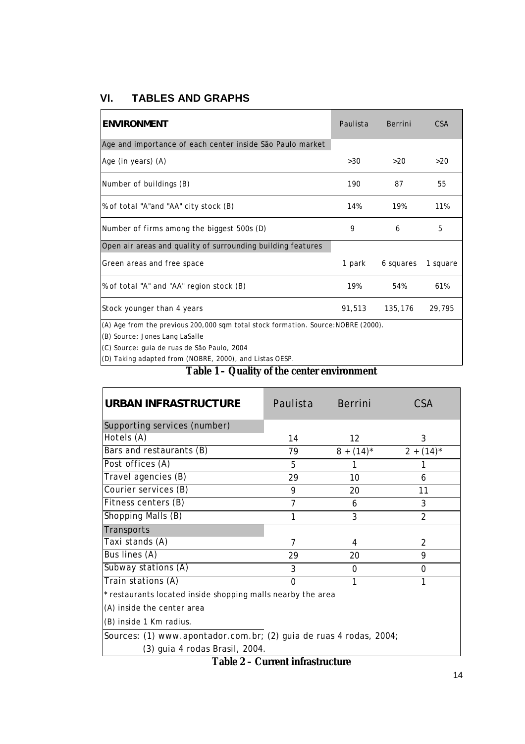# **VI. TABLES AND GRAPHS**

| <b>ENVIRONMENT</b>                                                                                                   | Paulista | Berrini   | C <sub>S</sub> A |  |
|----------------------------------------------------------------------------------------------------------------------|----------|-----------|------------------|--|
| Age and importance of each center inside São Paulo market                                                            |          |           |                  |  |
| Age (in years) (A)                                                                                                   | >30      | >20       | >20              |  |
| Number of buildings (B)                                                                                              | 190      | 87        | 55               |  |
| % of total "A" and "AA" city stock (B)                                                                               | 14%      | 19%       | 11%              |  |
| Number of firms among the biggest 500s (D)                                                                           | 9        | 6         | 5                |  |
| Open air areas and quality of surrounding building features                                                          |          |           |                  |  |
| Green areas and free space                                                                                           | 1 park   | 6 squares | 1 square         |  |
| % of total "A" and "AA" region stock (B)                                                                             | 19%      | 54%       | 61%              |  |
| Stock younger than 4 years                                                                                           | 91,513   | 135,176   | 29,795           |  |
| (A) Age from the previous 200,000 sqm total stock formation. Source: NOBRE (2000).<br>(B) Source: Jones Lang LaSalle |          |           |                  |  |

(C) Source: guia de ruas de São Paulo, 2004

(D) Taking adapted from (NOBRE, 2000), and Listas OESP.

## **Table 1 – Quality of the center environment**

| <b>URBAN INFRASTRUCTURE</b>                                 | Paulista       | Berrini           | CSA          |  |
|-------------------------------------------------------------|----------------|-------------------|--------------|--|
| Supporting services (number)                                |                |                   |              |  |
| Hotels (A)                                                  | 14             | $12 \overline{ }$ | 3            |  |
| Bars and restaurants (B)                                    | 79             | $8 + (14)^*$      | $2 + (14)^*$ |  |
| Post offices (A)                                            | 5              |                   |              |  |
| Travel agencies (B)                                         | 29             | 10                | 6            |  |
| Courier services (B)                                        | 9              | 20                | 11           |  |
| Fitness centers (B)                                         | $\overline{7}$ | 6                 | 3            |  |
| Shopping Malls (B)                                          | 1              | 3                 | 2            |  |
| Transports                                                  |                |                   |              |  |
| Taxi stands (A)                                             | 7              | 4                 | 2            |  |
| Bus lines (A)                                               | 29             | 20                | 9            |  |
| Subway stations (A)                                         | 3              | $\Omega$          | 0            |  |
| Train stations (A)                                          | 0              | 1                 | 1            |  |
| * restaurants located inside shopping malls nearby the area |                |                   |              |  |
| (A) inside the center area                                  |                |                   |              |  |
| (B) inside 1 Km radius.                                     |                |                   |              |  |

Sources: (1) www.apontador.com.br; (2) guia de ruas 4 rodas, 2004;

(3) guia 4 rodas Brasil, 2004.

**Table 2 – Current infrastructure**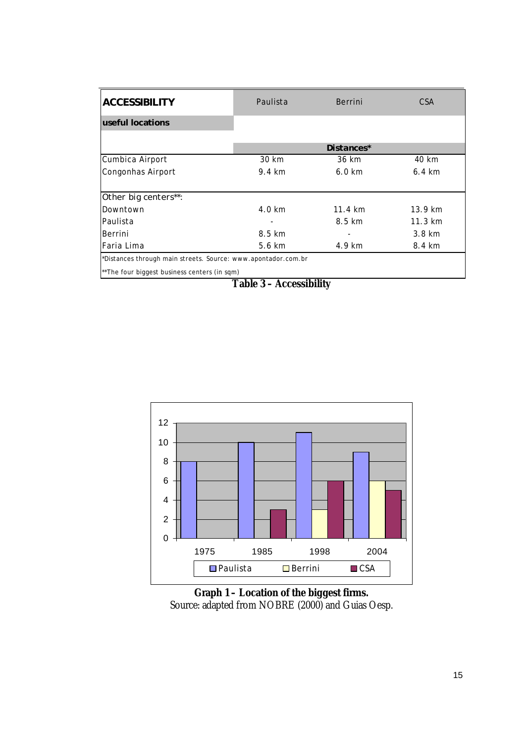| <b>ACCESSIBILITY</b>                                          | Paulista         | Berrini           | CSA                 |  |
|---------------------------------------------------------------|------------------|-------------------|---------------------|--|
| useful locations                                              |                  |                   |                     |  |
|                                                               |                  |                   |                     |  |
|                                                               |                  | Distances*        |                     |  |
| Cumbica Airport                                               | 30 km            | 36 km             | 40 km               |  |
| Congonhas Airport                                             | 9.4 km           | $6.0 \text{ km}$  | $6.4 \text{ km}$    |  |
|                                                               |                  |                   |                     |  |
| Other big centers**:                                          |                  |                   |                     |  |
| Downtown                                                      | $4.0 \text{ km}$ | $11.4 \text{ km}$ | $13.9 \text{ km}$   |  |
| Paulista                                                      |                  | 8.5 km            | $11.3 \; \text{km}$ |  |
| Berrini                                                       | 8.5 km           |                   | $3.8 \text{ km}$    |  |
| Faria Lima                                                    | 5.6 km           | 4.9 km            | 8.4 km              |  |
| *Distances through main streets. Source: www.apontador.com.br |                  |                   |                     |  |
| **The four biggest business centers (in sqm)                  |                  |                   |                     |  |

**Table 3 – Accessibility** 



**Graph 1 – Location of the biggest firms.**  Source: adapted from NOBRE (2000) and Guias Oesp.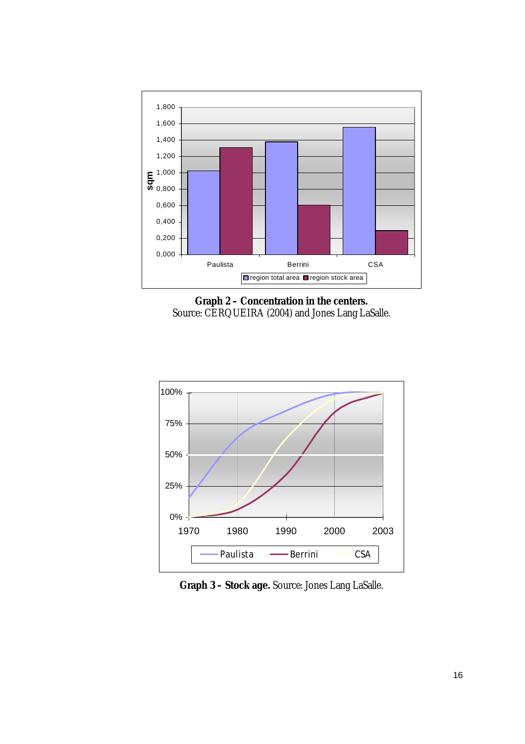





**Graph 3 – Stock age.** Source: Jones Lang LaSalle.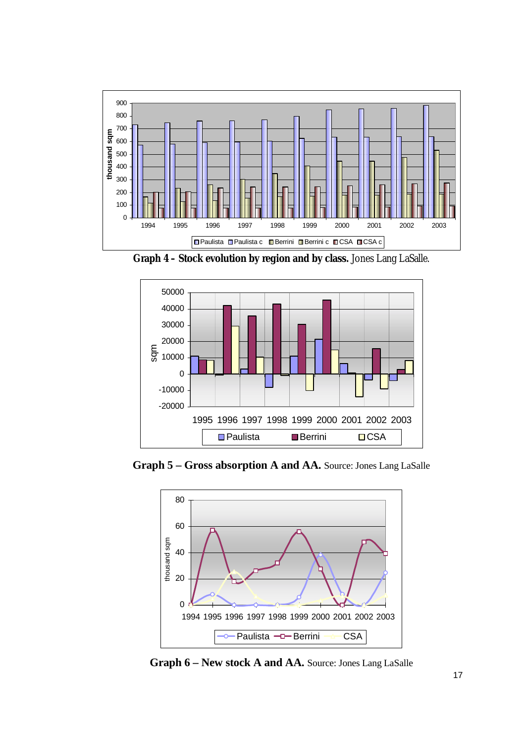

**Graph 4 – Stock evolution by region and by class.** Jones Lang LaSalle.



**Graph 5 – Gross absorption A and AA.** Source: Jones Lang LaSalle



**Graph 6 – New stock A and AA.** Source: Jones Lang LaSalle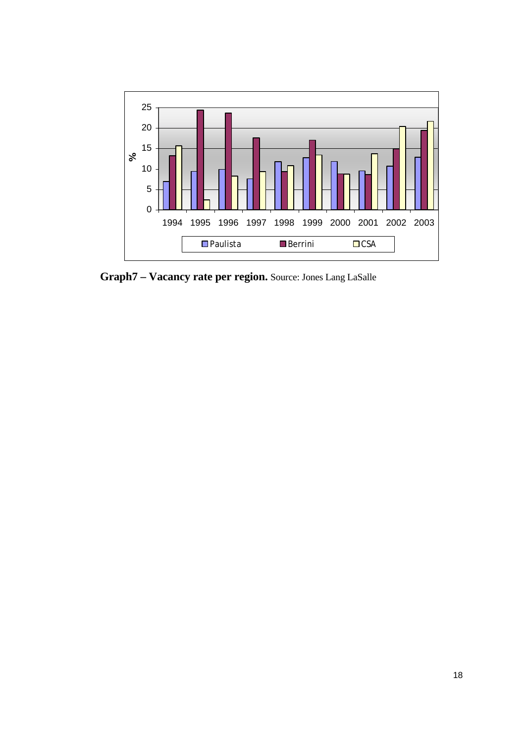

**Graph7 – Vacancy rate per region.** Source: Jones Lang LaSalle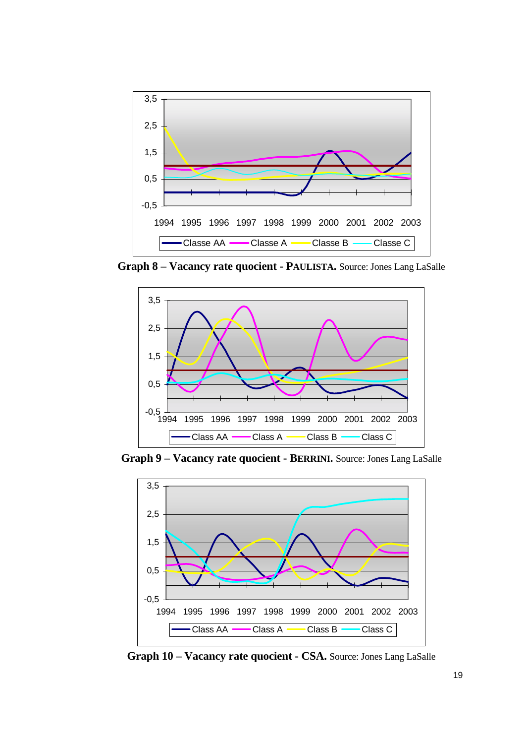

**Graph 8 – Vacancy rate quocient - PAULISTA.** Source: Jones Lang LaSalle



**Graph 9 – Vacancy rate quocient - BERRINI.** Source: Jones Lang LaSalle



**Graph 10 – Vacancy rate quocient - CSA.** Source: Jones Lang LaSalle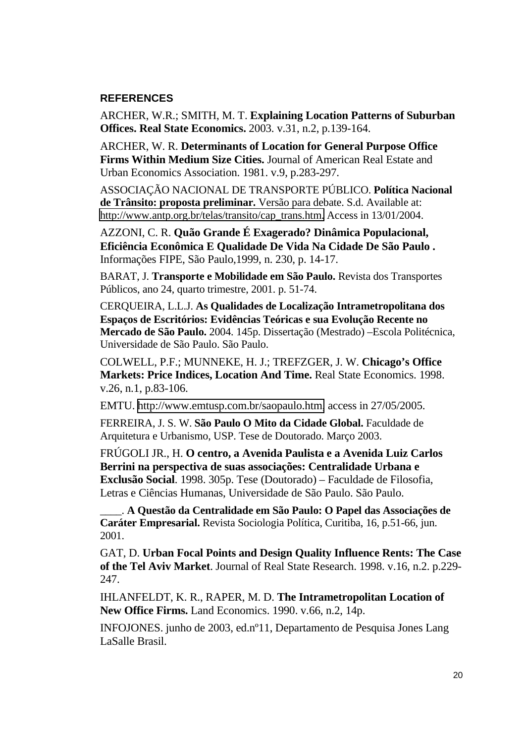## **REFERENCES**

ARCHER, W.R.; SMITH, M. T. **Explaining Location Patterns of Suburban Offices. Real State Economics.** 2003. v.31, n.2, p.139-164.

ARCHER, W. R. **Determinants of Location for General Purpose Office Firms Within Medium Size Cities.** Journal of American Real Estate and Urban Economics Association. 1981. v.9, p.283-297.

ASSOCIAÇÃO NACIONAL DE TRANSPORTE PÚBLICO. **Política Nacional de Trânsito: proposta preliminar.** Versão para debate. S.d. Available at: [http://www.antp.org.br/telas/transito/cap\\_trans.htm.](http://www.antp.org.br/telas/transito/cap_trans.htm) Access in 13/01/2004.

AZZONI, C. R. **Quão Grande É Exagerado? Dinâmica Populacional, Eficiência Econômica E Qualidade De Vida Na Cidade De São Paulo .**  Informações FIPE, São Paulo,1999, n. 230, p. 14-17.

BARAT, J. **Transporte e Mobilidade em São Paulo.** Revista dos Transportes Públicos, ano 24, quarto trimestre, 2001. p. 51-74.

CERQUEIRA, L.L.J. **As Qualidades de Localização Intrametropolitana dos Espaços de Escritórios: Evidências Teóricas e sua Evolução Recente no Mercado de São Paulo.** 2004. 145p. Dissertação (Mestrado) –Escola Politécnica, Universidade de São Paulo. São Paulo.

COLWELL, P.F.; MUNNEKE, H. J.; TREFZGER, J. W. **Chicago's Office Markets: Price Indices, Location And Time.** Real State Economics. 1998. v.26, n.1, p.83-106.

EMTU. [http://www.emtusp.com.br/saopaulo.htm,](http://www.emtusp.com.br/saopaulo.htm) access in 27/05/2005.

FERREIRA, J. S. W. **São Paulo O Mito da Cidade Global.** Faculdade de Arquitetura e Urbanismo, USP. Tese de Doutorado. Março 2003.

FRÚGOLI JR., H. **O centro, a Avenida Paulista e a Avenida Luiz Carlos Berrini na perspectiva de suas associações: Centralidade Urbana e Exclusão Social**. 1998. 305p. Tese (Doutorado) – Faculdade de Filosofia, Letras e Ciências Humanas, Universidade de São Paulo. São Paulo.

\_\_\_\_. **A Questão da Centralidade em São Paulo: O Papel das Associações de Caráter Empresarial.** Revista Sociologia Política, Curitiba, 16, p.51-66, jun. 2001.

GAT, D. **Urban Focal Points and Design Quality Influence Rents: The Case of the Tel Aviv Market**. Journal of Real State Research. 1998. v.16, n.2. p.229- 247.

IHLANFELDT, K. R., RAPER, M. D. **The Intrametropolitan Location of New Office Firms.** Land Economics. 1990. v.66, n.2, 14p.

INFOJONES. junho de 2003, ed.nº11, Departamento de Pesquisa Jones Lang LaSalle Brasil.